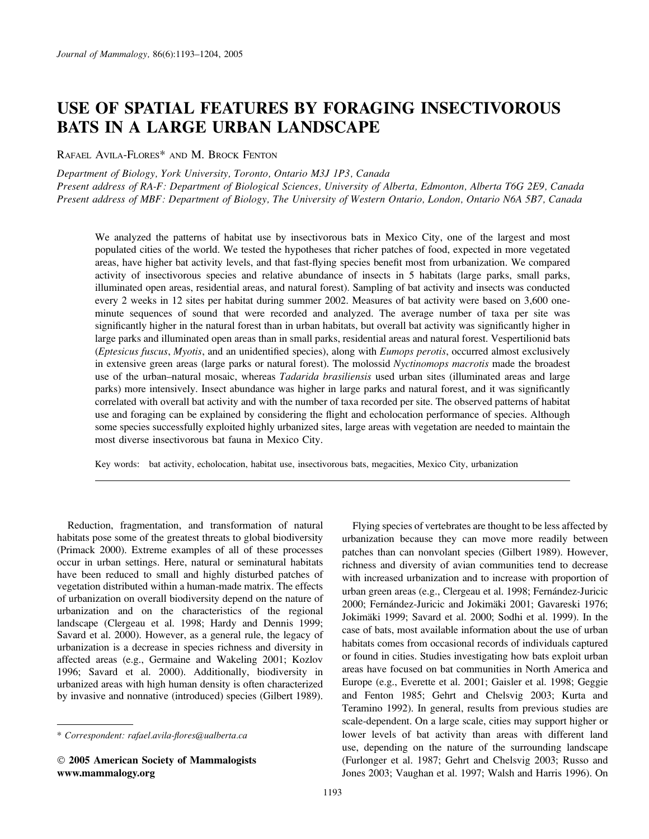# USE OF SPATIAL FEATURES BY FORAGING INSECTIVOROUS BATS IN A LARGE URBAN LANDSCAPE

RAFAEL AVILA-FLORES\* AND M. BROCK FENTON

Department of Biology, York University, Toronto, Ontario M3J 1P3, Canada Present address of RA-F: Department of Biological Sciences, University of Alberta, Edmonton, Alberta T6G 2E9, Canada Present address of MBF: Department of Biology, The University of Western Ontario, London, Ontario N6A 5B7, Canada

We analyzed the patterns of habitat use by insectivorous bats in Mexico City, one of the largest and most populated cities of the world. We tested the hypotheses that richer patches of food, expected in more vegetated areas, have higher bat activity levels, and that fast-flying species benefit most from urbanization. We compared activity of insectivorous species and relative abundance of insects in 5 habitats (large parks, small parks, illuminated open areas, residential areas, and natural forest). Sampling of bat activity and insects was conducted every 2 weeks in 12 sites per habitat during summer 2002. Measures of bat activity were based on 3,600 oneminute sequences of sound that were recorded and analyzed. The average number of taxa per site was significantly higher in the natural forest than in urban habitats, but overall bat activity was significantly higher in large parks and illuminated open areas than in small parks, residential areas and natural forest. Vespertilionid bats (Eptesicus fuscus, Myotis, and an unidentified species), along with Eumops perotis, occurred almost exclusively in extensive green areas (large parks or natural forest). The molossid Nyctinomops macrotis made the broadest use of the urban–natural mosaic, whereas *Tadarida brasiliensis* used urban sites (illuminated areas and large parks) more intensively. Insect abundance was higher in large parks and natural forest, and it was significantly correlated with overall bat activity and with the number of taxa recorded per site. The observed patterns of habitat use and foraging can be explained by considering the flight and echolocation performance of species. Although some species successfully exploited highly urbanized sites, large areas with vegetation are needed to maintain the most diverse insectivorous bat fauna in Mexico City.

Key words: bat activity, echolocation, habitat use, insectivorous bats, megacities, Mexico City, urbanization

Reduction, fragmentation, and transformation of natural habitats pose some of the greatest threats to global biodiversity (Primack 2000). Extreme examples of all of these processes occur in urban settings. Here, natural or seminatural habitats have been reduced to small and highly disturbed patches of vegetation distributed within a human-made matrix. The effects of urbanization on overall biodiversity depend on the nature of urbanization and on the characteristics of the regional landscape (Clergeau et al. 1998; Hardy and Dennis 1999; Savard et al. 2000). However, as a general rule, the legacy of urbanization is a decrease in species richness and diversity in affected areas (e.g., Germaine and Wakeling 2001; Kozlov 1996; Savard et al. 2000). Additionally, biodiversity in urbanized areas with high human density is often characterized by invasive and nonnative (introduced) species (Gilbert 1989).

Flying species of vertebrates are thought to be less affected by urbanization because they can move more readily between patches than can nonvolant species (Gilbert 1989). However, richness and diversity of avian communities tend to decrease with increased urbanization and to increase with proportion of urban green areas (e.g., Clergeau et al. 1998; Fernández-Juricic 2000; Fernández-Juricic and Jokimäki 2001; Gavareski 1976; Jokimäki 1999; Savard et al. 2000; Sodhi et al. 1999). In the case of bats, most available information about the use of urban habitats comes from occasional records of individuals captured or found in cities. Studies investigating how bats exploit urban areas have focused on bat communities in North America and Europe (e.g., Everette et al. 2001; Gaisler et al. 1998; Geggie and Fenton 1985; Gehrt and Chelsvig 2003; Kurta and Teramino 1992). In general, results from previous studies are scale-dependent. On a large scale, cities may support higher or lower levels of bat activity than areas with different land use, depending on the nature of the surrounding landscape (Furlonger et al. 1987; Gehrt and Chelsvig 2003; Russo and Jones 2003; Vaughan et al. 1997; Walsh and Harris 1996). On

<sup>\*</sup> Correspondent: rafael.avila-flores@ualberta.ca

2005 American Society of Mammalogists www.mammalogy.org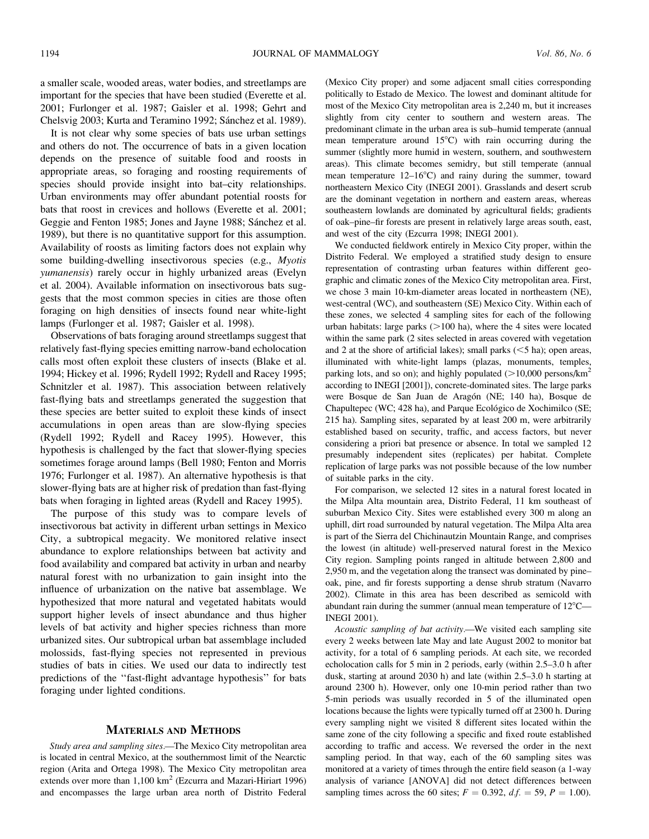a smaller scale, wooded areas, water bodies, and streetlamps are important for the species that have been studied (Everette et al. 2001; Furlonger et al. 1987; Gaisler et al. 1998; Gehrt and Chelsvig 2003; Kurta and Teramino 1992; Sánchez et al. 1989).

It is not clear why some species of bats use urban settings and others do not. The occurrence of bats in a given location depends on the presence of suitable food and roosts in appropriate areas, so foraging and roosting requirements of species should provide insight into bat–city relationships. Urban environments may offer abundant potential roosts for bats that roost in crevices and hollows (Everette et al. 2001; Geggie and Fenton 1985; Jones and Jayne 1988; Sánchez et al. 1989), but there is no quantitative support for this assumption. Availability of roosts as limiting factors does not explain why some building-dwelling insectivorous species (e.g., Myotis yumanensis) rarely occur in highly urbanized areas (Evelyn et al. 2004). Available information on insectivorous bats suggests that the most common species in cities are those often foraging on high densities of insects found near white-light lamps (Furlonger et al. 1987; Gaisler et al. 1998).

Observations of bats foraging around streetlamps suggest that relatively fast-flying species emitting narrow-band echolocation calls most often exploit these clusters of insects (Blake et al. 1994; Hickey et al. 1996; Rydell 1992; Rydell and Racey 1995; Schnitzler et al. 1987). This association between relatively fast-flying bats and streetlamps generated the suggestion that these species are better suited to exploit these kinds of insect accumulations in open areas than are slow-flying species (Rydell 1992; Rydell and Racey 1995). However, this hypothesis is challenged by the fact that slower-flying species sometimes forage around lamps (Bell 1980; Fenton and Morris 1976; Furlonger et al. 1987). An alternative hypothesis is that slower-flying bats are at higher risk of predation than fast-flying bats when foraging in lighted areas (Rydell and Racey 1995).

The purpose of this study was to compare levels of insectivorous bat activity in different urban settings in Mexico City, a subtropical megacity. We monitored relative insect abundance to explore relationships between bat activity and food availability and compared bat activity in urban and nearby natural forest with no urbanization to gain insight into the influence of urbanization on the native bat assemblage. We hypothesized that more natural and vegetated habitats would support higher levels of insect abundance and thus higher levels of bat activity and higher species richness than more urbanized sites. Our subtropical urban bat assemblage included molossids, fast-flying species not represented in previous studies of bats in cities. We used our data to indirectly test predictions of the ''fast-flight advantage hypothesis'' for bats foraging under lighted conditions.

### MATERIALS AND METHODS

Study area and sampling sites.—The Mexico City metropolitan area is located in central Mexico, at the southernmost limit of the Nearctic region (Arita and Ortega 1998). The Mexico City metropolitan area extends over more than 1,100 km<sup>2</sup> (Ezcurra and Mazari-Hiriart 1996) and encompasses the large urban area north of Distrito Federal (Mexico City proper) and some adjacent small cities corresponding politically to Estado de Mexico. The lowest and dominant altitude for most of the Mexico City metropolitan area is 2,240 m, but it increases slightly from city center to southern and western areas. The predominant climate in the urban area is sub–humid temperate (annual mean temperature around  $15^{\circ}$ C) with rain occurring during the summer (slightly more humid in western, southern, and southwestern areas). This climate becomes semidry, but still temperate (annual mean temperature  $12-16^{\circ}\text{C}$  and rainy during the summer, toward northeastern Mexico City (INEGI 2001). Grasslands and desert scrub are the dominant vegetation in northern and eastern areas, whereas southeastern lowlands are dominated by agricultural fields; gradients of oak–pine–fir forests are present in relatively large areas south, east, and west of the city (Ezcurra 1998; INEGI 2001).

We conducted fieldwork entirely in Mexico City proper, within the Distrito Federal. We employed a stratified study design to ensure representation of contrasting urban features within different geographic and climatic zones of the Mexico City metropolitan area. First, we chose 3 main 10-km-diameter areas located in northeastern (NE), west-central (WC), and southeastern (SE) Mexico City. Within each of these zones, we selected 4 sampling sites for each of the following urban habitats: large parks  $(>100$  ha), where the 4 sites were located within the same park (2 sites selected in areas covered with vegetation and 2 at the shore of artificial lakes); small parks  $(< 5$  ha); open areas, illuminated with white-light lamps (plazas, monuments, temples, parking lots, and so on); and highly populated  $(>10,000$  persons/km<sup>2</sup> according to INEGI [2001]), concrete-dominated sites. The large parks were Bosque de San Juan de Aragón (NE; 140 ha), Bosque de Chapultepec (WC; 428 ha), and Parque Ecológico de Xochimilco (SE; 215 ha). Sampling sites, separated by at least 200 m, were arbitrarily established based on security, traffic, and access factors, but never considering a priori bat presence or absence. In total we sampled 12 presumably independent sites (replicates) per habitat. Complete replication of large parks was not possible because of the low number of suitable parks in the city.

For comparison, we selected 12 sites in a natural forest located in the Milpa Alta mountain area, Distrito Federal, 11 km southeast of suburban Mexico City. Sites were established every 300 m along an uphill, dirt road surrounded by natural vegetation. The Milpa Alta area is part of the Sierra del Chichinautzin Mountain Range, and comprises the lowest (in altitude) well-preserved natural forest in the Mexico City region. Sampling points ranged in altitude between 2,800 and 2,950 m, and the vegetation along the transect was dominated by pine– oak, pine, and fir forests supporting a dense shrub stratum (Navarro 2002). Climate in this area has been described as semicold with abundant rain during the summer (annual mean temperature of  $12^{\circ}$ C— INEGI 2001).

Acoustic sampling of bat activity.—We visited each sampling site every 2 weeks between late May and late August 2002 to monitor bat activity, for a total of 6 sampling periods. At each site, we recorded echolocation calls for 5 min in 2 periods, early (within 2.5–3.0 h after dusk, starting at around 2030 h) and late (within 2.5–3.0 h starting at around 2300 h). However, only one 10-min period rather than two 5-min periods was usually recorded in 5 of the illuminated open locations because the lights were typically turned off at 2300 h. During every sampling night we visited 8 different sites located within the same zone of the city following a specific and fixed route established according to traffic and access. We reversed the order in the next sampling period. In that way, each of the 60 sampling sites was monitored at a variety of times through the entire field season (a 1-way analysis of variance [ANOVA] did not detect differences between sampling times across the 60 sites;  $F = 0.392$ ,  $df = 59$ ,  $P = 1.00$ ).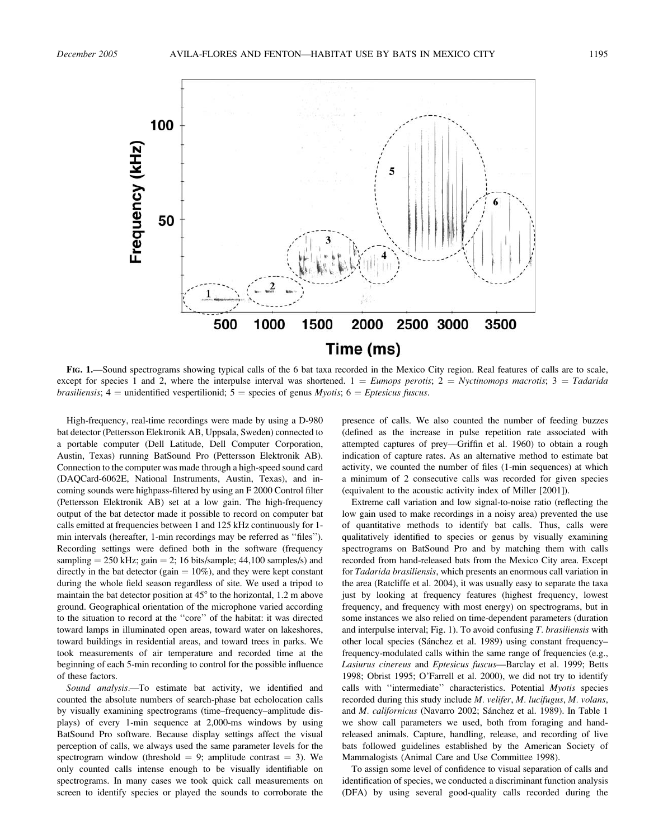

FIG. 1.—Sound spectrograms showing typical calls of the 6 bat taxa recorded in the Mexico City region. Real features of calls are to scale, except for species 1 and 2, where the interpulse interval was shortened.  $1 = Eumops$  perotis;  $2 = Nyctionomops$  macrotis;  $3 = Tadarida$ *brasiliensis*;  $4 =$  unidentified vespertilionid;  $5 =$  species of genus *Myotis*;  $6 =$  *Eptesicus fuscus.* 

High-frequency, real-time recordings were made by using a D-980 bat detector (Pettersson Elektronik AB, Uppsala, Sweden) connected to a portable computer (Dell Latitude, Dell Computer Corporation, Austin, Texas) running BatSound Pro (Pettersson Elektronik AB). Connection to the computer was made through a high-speed sound card (DAQCard-6062E, National Instruments, Austin, Texas), and incoming sounds were highpass-filtered by using an F 2000 Control filter (Pettersson Elektronik AB) set at a low gain. The high-frequency output of the bat detector made it possible to record on computer bat calls emitted at frequencies between 1 and 125 kHz continuously for 1 min intervals (hereafter, 1-min recordings may be referred as ''files''). Recording settings were defined both in the software (frequency sampling  $= 250$  kHz; gain  $= 2$ ; 16 bits/sample; 44,100 samples/s) and directly in the bat detector (gain  $= 10\%$ ), and they were kept constant during the whole field season regardless of site. We used a tripod to maintain the bat detector position at  $45^{\circ}$  to the horizontal, 1.2 m above ground. Geographical orientation of the microphone varied according to the situation to record at the ''core'' of the habitat: it was directed toward lamps in illuminated open areas, toward water on lakeshores, toward buildings in residential areas, and toward trees in parks. We took measurements of air temperature and recorded time at the beginning of each 5-min recording to control for the possible influence of these factors.

Sound analysis.—To estimate bat activity, we identified and counted the absolute numbers of search-phase bat echolocation calls by visually examining spectrograms (time–frequency–amplitude displays) of every 1-min sequence at 2,000-ms windows by using BatSound Pro software. Because display settings affect the visual perception of calls, we always used the same parameter levels for the spectrogram window (threshold  $= 9$ ; amplitude contrast  $= 3$ ). We only counted calls intense enough to be visually identifiable on spectrograms. In many cases we took quick call measurements on screen to identify species or played the sounds to corroborate the presence of calls. We also counted the number of feeding buzzes (defined as the increase in pulse repetition rate associated with attempted captures of prey—Griffin et al. 1960) to obtain a rough indication of capture rates. As an alternative method to estimate bat activity, we counted the number of files (1-min sequences) at which a minimum of 2 consecutive calls was recorded for given species (equivalent to the acoustic activity index of Miller [2001]).

Extreme call variation and low signal-to-noise ratio (reflecting the low gain used to make recordings in a noisy area) prevented the use of quantitative methods to identify bat calls. Thus, calls were qualitatively identified to species or genus by visually examining spectrograms on BatSound Pro and by matching them with calls recorded from hand-released bats from the Mexico City area. Except for Tadarida brasiliensis, which presents an enormous call variation in the area (Ratcliffe et al. 2004), it was usually easy to separate the taxa just by looking at frequency features (highest frequency, lowest frequency, and frequency with most energy) on spectrograms, but in some instances we also relied on time-dependent parameters (duration and interpulse interval; Fig. 1). To avoid confusing  $T.$  brasiliensis with other local species (Sánchez et al. 1989) using constant frequencyfrequency-modulated calls within the same range of frequencies (e.g., Lasiurus cinereus and Eptesicus fuscus—Barclay et al. 1999; Betts 1998; Obrist 1995; O'Farrell et al. 2000), we did not try to identify calls with "intermediate" characteristics. Potential Myotis species recorded during this study include M. velifer, M. lucifugus, M. volans, and M. californicus (Navarro 2002; Sánchez et al. 1989). In Table 1 we show call parameters we used, both from foraging and handreleased animals. Capture, handling, release, and recording of live bats followed guidelines established by the American Society of Mammalogists (Animal Care and Use Committee 1998).

To assign some level of confidence to visual separation of calls and identification of species, we conducted a discriminant function analysis (DFA) by using several good-quality calls recorded during the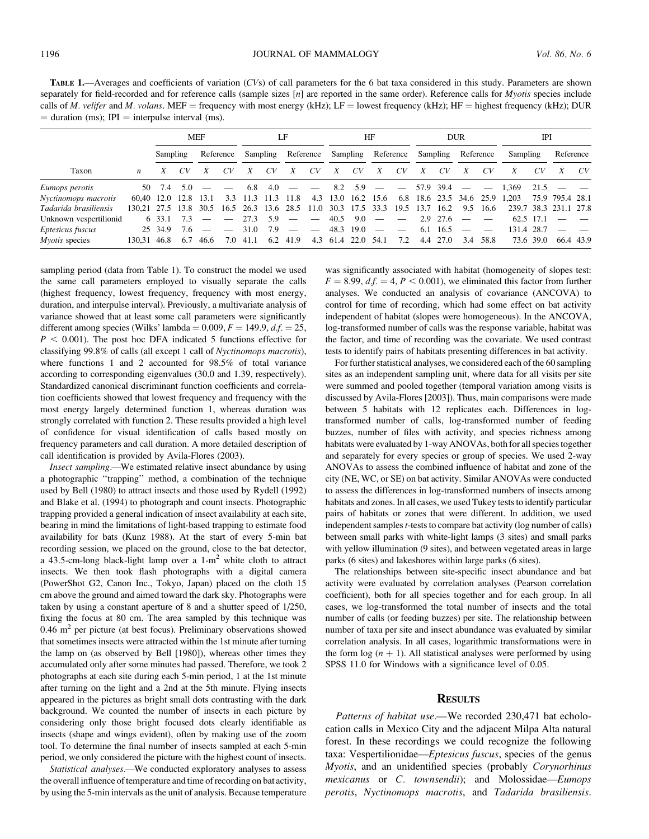TABLE 1.—Averages and coefficients of variation (CVs) of call parameters for the 6 bat taxa considered in this study. Parameters are shown separately for field-recorded and for reference calls (sample sizes  $[n]$  are reported in the same order). Reference calls for *Myotis* species include calls of M. velifer and M. volans. MEF = frequency with most energy (kHz);  $LF =$  lowest frequency (kHz); HF = highest frequency (kHz); DUR  $=$  duration (ms); IPI  $=$  interpulse interval (ms).

|                        |                  | <b>MEF</b> |           |      | LF        |                     |     | HF                                    |      |      | <b>DUR</b>     |                          |                                 | <b>IPI</b> |           |           |                          |                               |           |                       |                |
|------------------------|------------------|------------|-----------|------|-----------|---------------------|-----|---------------------------------------|------|------|----------------|--------------------------|---------------------------------|------------|-----------|-----------|--------------------------|-------------------------------|-----------|-----------------------|----------------|
|                        |                  | Sampling   |           |      | Reference |                     |     | Sampling Reference Sampling Reference |      |      |                |                          |                                 |            | Sampling  | Reference |                          | Sampling                      |           | Reference             |                |
| Taxon                  | $\boldsymbol{n}$ |            | CV        |      | CV        | X                   | CV  | X                                     | CV   | Χ    | CV             | X                        | CV                              | X          | CV        | X         | CV                       | X                             | CV        | X                     | CV <sub></sub> |
| <i>Eumops perotis</i>  | 50.              | 7.4        | 5.0       |      |           | 6.8                 | 4.0 |                                       |      |      | 8.2 5.9        | $\overline{\phantom{m}}$ | $\hspace{0.1mm}-\hspace{0.1mm}$ |            | 57.9 39.4 | $\sim$    | $\overline{\phantom{a}}$ | 1.369                         | 21.5      |                       |                |
| Nyctinomops macrotis   | 60.40 12.0       |            | 12.8 13.1 |      |           | 3.3 11.3 11.3 11.8  |     |                                       |      |      |                | 4.3 13.0 16.2 15.6       |                                 |            |           |           |                          | 6.8 18.6 23.5 34.6 25.9 1.203 |           | 75.9 795.4 28.1       |                |
| Tadarida brasiliensis  | 130.21 27.5 13.8 |            |           | 30.5 |           | 16.5 26.3 13.6 28.5 |     |                                       | 11.0 |      | 30.3 17.5 33.3 |                          | 19.5                            | 13.7       | 16.2      | 9.5       | 16.6                     |                               |           | 239.7 38.3 231.1 27.8 |                |
| Unknown vespertilionid |                  | 6 33.1     | 7.3       |      |           | 27.3                | 5.9 |                                       |      | 40.5 | 9.0            |                          |                                 |            | 2.9 27.6  |           |                          | 62.5 17.1                     |           |                       |                |
| Eptesicus fuscus       |                  | 25 34.9    | 7.6       |      |           | 31.0                | 7.9 |                                       |      | 48.3 | 19.0           |                          |                                 | 6.1        | 16.5      |           |                          | 131.4 28.7                    |           |                       |                |
| Myotis species         | 130.31 46.8      |            | 6.7       | 46.6 | 7.0       | 41.1                | 6.2 | 41.9                                  |      |      | 4.3 61.4 22.0  | 54.1                     | 7.2                             | 4.4        | 27.0      | 3.4       | 58.8                     |                               | 73.6 39.0 |                       | 66.4 43.9      |

sampling period (data from Table 1). To construct the model we used the same call parameters employed to visually separate the calls (highest frequency, lowest frequency, frequency with most energy, duration, and interpulse interval). Previously, a multivariate analysis of variance showed that at least some call parameters were significantly different among species (Wilks' lambda =  $0.009, F = 149.9, df = 25$ ,  $P < 0.001$ ). The post hoc DFA indicated 5 functions effective for classifying 99.8% of calls (all except 1 call of Nyctinomops macrotis), where functions 1 and 2 accounted for 98.5% of total variance according to corresponding eigenvalues (30.0 and 1.39, respectively). Standardized canonical discriminant function coefficients and correlation coefficients showed that lowest frequency and frequency with the most energy largely determined function 1, whereas duration was strongly correlated with function 2. These results provided a high level of confidence for visual identification of calls based mostly on frequency parameters and call duration. A more detailed description of call identification is provided by Avila-Flores (2003).

Insect sampling.—We estimated relative insect abundance by using a photographic ''trapping'' method, a combination of the technique used by Bell (1980) to attract insects and those used by Rydell (1992) and Blake et al. (1994) to photograph and count insects. Photographic trapping provided a general indication of insect availability at each site, bearing in mind the limitations of light-based trapping to estimate food availability for bats (Kunz 1988). At the start of every 5-min bat recording session, we placed on the ground, close to the bat detector, a 43.5-cm-long black-light lamp over a  $1-m^2$  white cloth to attract insects. We then took flash photographs with a digital camera (PowerShot G2, Canon Inc., Tokyo, Japan) placed on the cloth 15 cm above the ground and aimed toward the dark sky. Photographs were taken by using a constant aperture of 8 and a shutter speed of 1/250, fixing the focus at 80 cm. The area sampled by this technique was  $0.46$  m<sup>2</sup> per picture (at best focus). Preliminary observations showed that sometimes insects were attracted within the 1st minute after turning the lamp on (as observed by Bell [1980]), whereas other times they accumulated only after some minutes had passed. Therefore, we took 2 photographs at each site during each 5-min period, 1 at the 1st minute after turning on the light and a 2nd at the 5th minute. Flying insects appeared in the pictures as bright small dots contrasting with the dark background. We counted the number of insects in each picture by considering only those bright focused dots clearly identifiable as insects (shape and wings evident), often by making use of the zoom tool. To determine the final number of insects sampled at each 5-min period, we only considered the picture with the highest count of insects.

Statistical analyses.—We conducted exploratory analyses to assess the overall influence of temperature and time of recording on bat activity, by using the 5-min intervals as the unit of analysis. Because temperature was significantly associated with habitat (homogeneity of slopes test:  $F = 8.99$ ,  $df = 4$ ,  $P < 0.001$ ), we eliminated this factor from further analyses. We conducted an analysis of covariance (ANCOVA) to control for time of recording, which had some effect on bat activity independent of habitat (slopes were homogeneous). In the ANCOVA, log-transformed number of calls was the response variable, habitat was the factor, and time of recording was the covariate. We used contrast tests to identify pairs of habitats presenting differences in bat activity.

For further statistical analyses, we considered each of the 60 sampling sites as an independent sampling unit, where data for all visits per site were summed and pooled together (temporal variation among visits is discussed by Avila-Flores [2003]). Thus, main comparisons were made between 5 habitats with 12 replicates each. Differences in logtransformed number of calls, log-transformed number of feeding buzzes, number of files with activity, and species richness among habitats were evaluated by 1-way ANOVAs, both for all species together and separately for every species or group of species. We used 2-way ANOVAs to assess the combined influence of habitat and zone of the city (NE, WC, or SE) on bat activity. Similar ANOVAs were conducted to assess the differences in log-transformed numbers of insects among habitats and zones. In all cases, we used Tukey tests to identify particular pairs of habitats or zones that were different. In addition, we used independent samples  $t$ -tests to compare bat activity (log number of calls) between small parks with white-light lamps (3 sites) and small parks with yellow illumination (9 sites), and between vegetated areas in large parks (6 sites) and lakeshores within large parks (6 sites).

The relationships between site-specific insect abundance and bat activity were evaluated by correlation analyses (Pearson correlation coefficient), both for all species together and for each group. In all cases, we log-transformed the total number of insects and the total number of calls (or feeding buzzes) per site. The relationship between number of taxa per site and insect abundance was evaluated by similar correlation analysis. In all cases, logarithmic transformations were in the form  $log(n + 1)$ . All statistical analyses were performed by using SPSS 11.0 for Windows with a significance level of 0.05.

# **RESULTS**

Patterns of habitat use.—We recorded 230,471 bat echolocation calls in Mexico City and the adjacent Milpa Alta natural forest. In these recordings we could recognize the following taxa: Vespertilionidae—Eptesicus fuscus, species of the genus Myotis, and an unidentified species (probably Corynorhinus mexicanus or C. townsendii); and Molossidae—Eumops perotis, Nyctinomops macrotis, and Tadarida brasiliensis.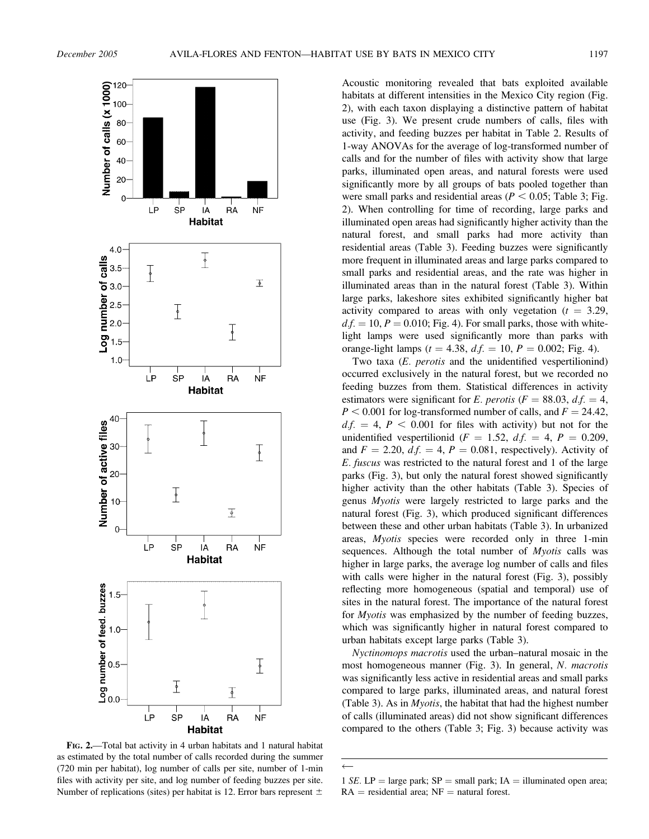

FIG. 2.—Total bat activity in 4 urban habitats and 1 natural habitat as estimated by the total number of calls recorded during the summer (720 min per habitat), log number of calls per site, number of 1-min files with activity per site, and log number of feeding buzzes per site. Number of replications (sites) per habitat is 12. Error bars represent  $\pm$ 

Acoustic monitoring revealed that bats exploited available habitats at different intensities in the Mexico City region (Fig. 2), with each taxon displaying a distinctive pattern of habitat use (Fig. 3). We present crude numbers of calls, files with activity, and feeding buzzes per habitat in Table 2. Results of 1-way ANOVAs for the average of log-transformed number of calls and for the number of files with activity show that large parks, illuminated open areas, and natural forests were used significantly more by all groups of bats pooled together than were small parks and residential areas ( $P < 0.05$ ; Table 3; Fig. 2). When controlling for time of recording, large parks and illuminated open areas had significantly higher activity than the natural forest, and small parks had more activity than residential areas (Table 3). Feeding buzzes were significantly more frequent in illuminated areas and large parks compared to small parks and residential areas, and the rate was higher in illuminated areas than in the natural forest (Table 3). Within large parks, lakeshore sites exhibited significantly higher bat activity compared to areas with only vegetation  $(t = 3.29,$  $d.f. = 10, P = 0.010$ ; Fig. 4). For small parks, those with whitelight lamps were used significantly more than parks with orange-light lamps ( $t = 4.38$ ,  $df = 10$ ,  $P = 0.002$ ; Fig. 4).

Two taxa (E. perotis and the unidentified vespertilionind) occurred exclusively in the natural forest, but we recorded no feeding buzzes from them. Statistical differences in activity estimators were significant for E. perotis ( $F = 88.03$ , d.f.  $= 4$ ,  $P < 0.001$  for log-transformed number of calls, and  $F = 24.42$ ,  $df = 4$ ,  $P < 0.001$  for files with activity) but not for the unidentified vespertilionid ( $F = 1.52$ ,  $df = 4$ ,  $P = 0.209$ , and  $F = 2.20$ ,  $df = 4$ ,  $P = 0.081$ , respectively). Activity of E. fuscus was restricted to the natural forest and 1 of the large parks (Fig. 3), but only the natural forest showed significantly higher activity than the other habitats (Table 3). Species of genus Myotis were largely restricted to large parks and the natural forest (Fig. 3), which produced significant differences between these and other urban habitats (Table 3). In urbanized areas, Myotis species were recorded only in three 1-min sequences. Although the total number of *Myotis* calls was higher in large parks, the average log number of calls and files with calls were higher in the natural forest (Fig. 3), possibly reflecting more homogeneous (spatial and temporal) use of sites in the natural forest. The importance of the natural forest for Myotis was emphasized by the number of feeding buzzes, which was significantly higher in natural forest compared to urban habitats except large parks (Table 3).

Nyctinomops macrotis used the urban–natural mosaic in the most homogeneous manner (Fig. 3). In general, N. macrotis was significantly less active in residential areas and small parks compared to large parks, illuminated areas, and natural forest (Table 3). As in Myotis, the habitat that had the highest number of calls (illuminated areas) did not show significant differences compared to the others (Table 3; Fig. 3) because activity was

 $\leftarrow$ 

<sup>1</sup> SE. LP = large park;  $SP = \text{small park}$ ; IA = illuminated open area;  $RA =$  residential area;  $NF =$  natural forest.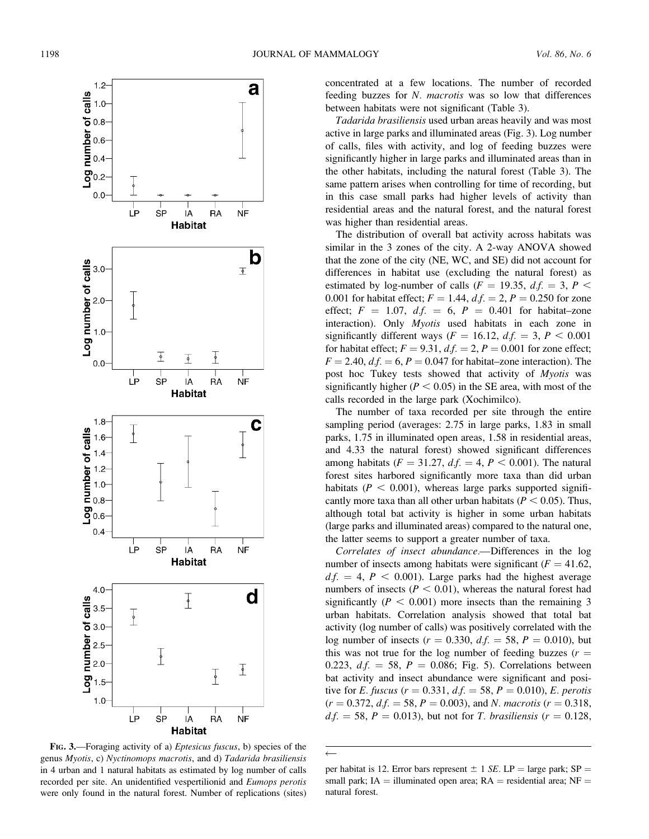

FIG. 3.—Foraging activity of a) Eptesicus fuscus, b) species of the genus Myotis, c) Nyctinomops macrotis, and d) Tadarida brasiliensis in 4 urban and 1 natural habitats as estimated by log number of calls recorded per site. An unidentified vespertilionid and Eumops perotis were only found in the natural forest. Number of replications (sites)

concentrated at a few locations. The number of recorded feeding buzzes for N. macrotis was so low that differences between habitats were not significant (Table 3).

Tadarida brasiliensis used urban areas heavily and was most active in large parks and illuminated areas (Fig. 3). Log number of calls, files with activity, and log of feeding buzzes were significantly higher in large parks and illuminated areas than in the other habitats, including the natural forest (Table 3). The same pattern arises when controlling for time of recording, but in this case small parks had higher levels of activity than residential areas and the natural forest, and the natural forest was higher than residential areas.

The distribution of overall bat activity across habitats was similar in the 3 zones of the city. A 2-way ANOVA showed that the zone of the city (NE, WC, and SE) did not account for differences in habitat use (excluding the natural forest) as estimated by log-number of calls ( $F = 19.35$ ,  $df = 3$ ,  $P <$ 0.001 for habitat effect;  $F = 1.44$ ,  $df = 2$ ,  $P = 0.250$  for zone effect;  $F = 1.07$ ,  $d.f. = 6$ ,  $P = 0.401$  for habitat–zone interaction). Only Myotis used habitats in each zone in significantly different ways ( $F = 16.12$ ,  $df = 3$ ,  $P < 0.001$ for habitat effect;  $F = 9.31$ ,  $df = 2$ ,  $P = 0.001$  for zone effect;  $F = 2.40$ ,  $df = 6$ ,  $P = 0.047$  for habitat–zone interaction). The post hoc Tukey tests showed that activity of Myotis was significantly higher ( $P < 0.05$ ) in the SE area, with most of the calls recorded in the large park (Xochimilco).

The number of taxa recorded per site through the entire sampling period (averages: 2.75 in large parks, 1.83 in small parks, 1.75 in illuminated open areas, 1.58 in residential areas, and 4.33 the natural forest) showed significant differences among habitats ( $F = 31.27$ ,  $d.f. = 4$ ,  $P < 0.001$ ). The natural forest sites harbored significantly more taxa than did urban habitats ( $P < 0.001$ ), whereas large parks supported significantly more taxa than all other urban habitats ( $P < 0.05$ ). Thus, although total bat activity is higher in some urban habitats (large parks and illuminated areas) compared to the natural one, the latter seems to support a greater number of taxa.

Correlates of insect abundance.—Differences in the log number of insects among habitats were significant ( $F = 41.62$ ,  $df. = 4$ ,  $P < 0.001$ ). Large parks had the highest average numbers of insects ( $P < 0.01$ ), whereas the natural forest had significantly ( $P < 0.001$ ) more insects than the remaining 3 urban habitats. Correlation analysis showed that total bat activity (log number of calls) was positively correlated with the log number of insects ( $r = 0.330$ ,  $df = 58$ ,  $P = 0.010$ ), but this was not true for the log number of feeding buzzes  $(r =$ 0.223,  $df = 58$ ,  $P = 0.086$ ; Fig. 5). Correlations between bat activity and insect abundance were significant and positive for *E. fuscus* ( $r = 0.331$ ,  $df = 58$ ,  $P = 0.010$ ), *E. perotis*  $(r = 0.372, d.f. = 58, P = 0.003)$ , and N. macrotis  $(r = 0.318,$  $df. = 58, P = 0.013$ , but not for *T. brasiliensis* ( $r = 0.128$ ,

 $\leftarrow$ 

per habitat is 12. Error bars represent  $\pm$  1 SE. LP = large park; SP = small park; IA = illuminated open area;  $RA$  = residential area; NF = natural forest.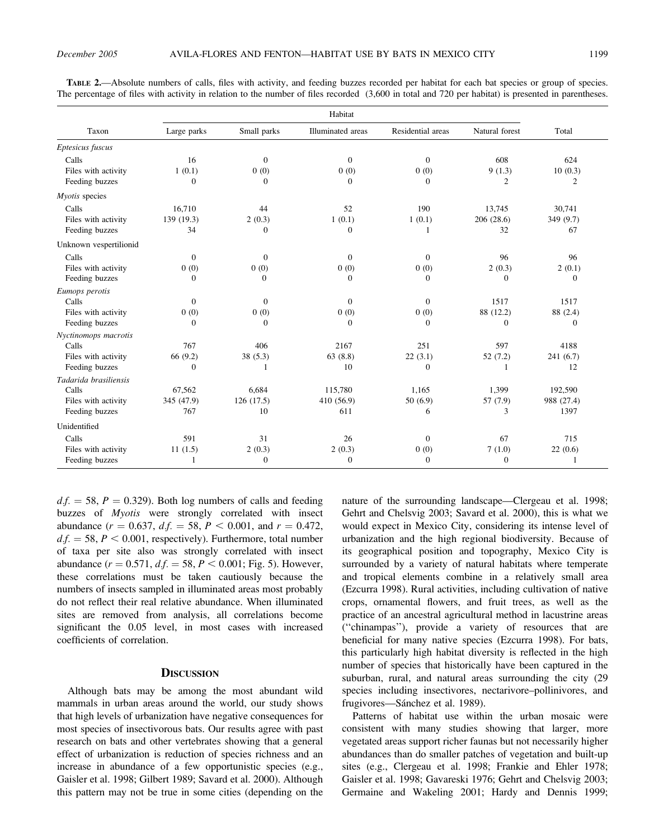| Habitat                |             |              |                   |                   |                |              |  |  |  |
|------------------------|-------------|--------------|-------------------|-------------------|----------------|--------------|--|--|--|
| Taxon                  | Large parks | Small parks  | Illuminated areas | Residential areas | Natural forest | Total        |  |  |  |
| Eptesicus fuscus       |             |              |                   |                   |                |              |  |  |  |
| Calls                  | 16          | $\mathbf{0}$ | $\boldsymbol{0}$  | $\overline{0}$    | 608            | 624          |  |  |  |
| Files with activity    | 1(0.1)      | 0(0)         | 0(0)              | 0(0)              | 9(1.3)         | 10(0.3)      |  |  |  |
| Feeding buzzes         | $\Omega$    | $\Omega$     | $\Omega$          | $\Omega$          | $\overline{2}$ | 2            |  |  |  |
| Myotis species         |             |              |                   |                   |                |              |  |  |  |
| Calls                  | 16,710      | 44           | 52                | 190               | 13,745         | 30,741       |  |  |  |
| Files with activity    | 139 (19.3)  | 2(0.3)       | 1(0.1)            | 1(0.1)            | 206 (28.6)     | 349 (9.7)    |  |  |  |
| Feeding buzzes         | 34          | $\mathbf{0}$ | $\boldsymbol{0}$  | 1                 | 32             | 67           |  |  |  |
| Unknown vespertilionid |             |              |                   |                   |                |              |  |  |  |
| Calls                  | $\theta$    | $\Omega$     | $\mathbf{0}$      | $\Omega$          | 96             | 96           |  |  |  |
| Files with activity    | 0(0)        | 0(0)         | 0(0)              | 0(0)              | 2(0.3)         | 2(0.1)       |  |  |  |
| Feeding buzzes         | 0           | $\mathbf{0}$ | $\mathbf{0}$      | $\mathbf{0}$      | $\mathbf{0}$   | $\mathbf{0}$ |  |  |  |
| Eumops perotis         |             |              |                   |                   |                |              |  |  |  |
| Calls                  | $\theta$    | $\Omega$     | $\mathbf{0}$      | $\theta$          | 1517           | 1517         |  |  |  |
| Files with activity    | 0(0)        | 0(0)         | 0(0)              | 0(0)              | 88 (12.2)      | 88 (2.4)     |  |  |  |
| Feeding buzzes         | $\theta$    | $\Omega$     | $\mathbf{0}$      | $\Omega$          | $\mathbf{0}$   | $\Omega$     |  |  |  |
| Nyctinomops macrotis   |             |              |                   |                   |                |              |  |  |  |
| Calls                  | 767         | 406          | 2167              | 251               | 597            | 4188         |  |  |  |
| Files with activity    | 66 (9.2)    | 38(5.3)      | 63(8.8)           | 22(3.1)           | 52(7.2)        | 241(6.7)     |  |  |  |
| Feeding buzzes         | $\Omega$    | 1            | 10                | $\Omega$          | 1              | 12           |  |  |  |
| Tadarida brasiliensis  |             |              |                   |                   |                |              |  |  |  |
| Calls                  | 67,562      | 6.684        | 115,780           | 1,165             | 1,399          | 192,590      |  |  |  |
| Files with activity    | 345 (47.9)  | 126(17.5)    | 410 (56.9)        | 50(6.9)           | 57 (7.9)       | 988 (27.4)   |  |  |  |
| Feeding buzzes         | 767         | 10           | 611               | 6                 | 3              | 1397         |  |  |  |
| Unidentified           |             |              |                   |                   |                |              |  |  |  |
| Calls                  | 591         | 31           | 26                | $\Omega$          | 67             | 715          |  |  |  |
| Files with activity    | 11(1.5)     | 2(0.3)       | 2(0.3)            | 0(0)              | 7(1.0)         | 22(0.6)      |  |  |  |
| Feeding buzzes         | 1           | $\mathbf{0}$ | $\mathbf{0}$      | $\theta$          | $\mathbf{0}$   | 1            |  |  |  |

TABLE 2.—Absolute numbers of calls, files with activity, and feeding buzzes recorded per habitat for each bat species or group of species. The percentage of files with activity in relation to the number of files recorded (3,600 in total and 720 per habitat) is presented in parentheses.

 $d.f. = 58$ ,  $P = 0.329$ . Both log numbers of calls and feeding buzzes of Myotis were strongly correlated with insect abundance  $(r = 0.637, d.f. = 58, P < 0.001,$  and  $r = 0.472$ ,  $d.f. = 58, P < 0.001$ , respectively). Furthermore, total number of taxa per site also was strongly correlated with insect abundance ( $r = 0.571$ ,  $df = 58$ ,  $P < 0.001$ ; Fig. 5). However, these correlations must be taken cautiously because the numbers of insects sampled in illuminated areas most probably do not reflect their real relative abundance. When illuminated sites are removed from analysis, all correlations become significant the 0.05 level, in most cases with increased coefficients of correlation.

#### **DISCUSSION**

Although bats may be among the most abundant wild mammals in urban areas around the world, our study shows that high levels of urbanization have negative consequences for most species of insectivorous bats. Our results agree with past research on bats and other vertebrates showing that a general effect of urbanization is reduction of species richness and an increase in abundance of a few opportunistic species (e.g., Gaisler et al. 1998; Gilbert 1989; Savard et al. 2000). Although this pattern may not be true in some cities (depending on the

nature of the surrounding landscape—Clergeau et al. 1998; Gehrt and Chelsvig 2003; Savard et al. 2000), this is what we would expect in Mexico City, considering its intense level of urbanization and the high regional biodiversity. Because of its geographical position and topography, Mexico City is surrounded by a variety of natural habitats where temperate and tropical elements combine in a relatively small area (Ezcurra 1998). Rural activities, including cultivation of native crops, ornamental flowers, and fruit trees, as well as the practice of an ancestral agricultural method in lacustrine areas (''chinampas''), provide a variety of resources that are beneficial for many native species (Ezcurra 1998). For bats, this particularly high habitat diversity is reflected in the high number of species that historically have been captured in the suburban, rural, and natural areas surrounding the city (29 species including insectivores, nectarivore–pollinivores, and frugivores—Sánchez et al. 1989).

Patterns of habitat use within the urban mosaic were consistent with many studies showing that larger, more vegetated areas support richer faunas but not necessarily higher abundances than do smaller patches of vegetation and built-up sites (e.g., Clergeau et al. 1998; Frankie and Ehler 1978; Gaisler et al. 1998; Gavareski 1976; Gehrt and Chelsvig 2003; Germaine and Wakeling 2001; Hardy and Dennis 1999;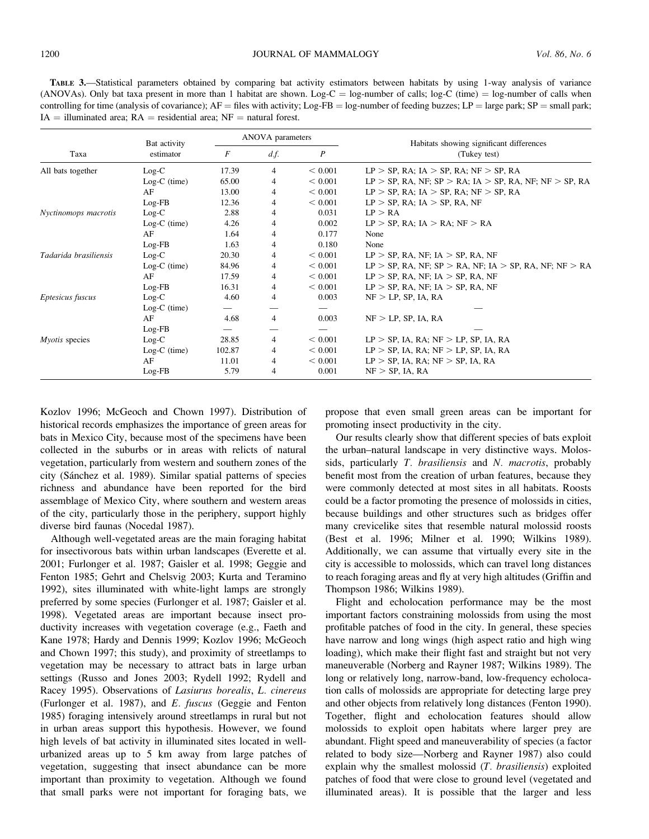TABLE 3.—Statistical parameters obtained by comparing bat activity estimators between habitats by using 1-way analysis of variance (ANOVAs). Only bat taxa present in more than 1 habitat are shown. Log-C = log-number of calls; log-C (time) = log-number of calls when controlling for time (analysis of covariance);  $AF =$  files with activity; Log-FB = log-number of feeding buzzes; LP = large park; SP = small park;  $IA =$  illuminated area;  $RA =$  residential area;  $NF =$  natural forest.

|                       | Bat activity   |                          | ANOVA parameters |             | Habitats showing significant differences                  |  |  |  |  |
|-----------------------|----------------|--------------------------|------------------|-------------|-----------------------------------------------------------|--|--|--|--|
| Taxa                  | estimator      | F<br>df.<br>P            |                  |             | (Tukey test)                                              |  |  |  |  |
| All bats together     | $Log-C$        | 17.39                    | 4                | < 0.001     | $LP > SP$ , RA; IA $> SP$ , RA; NF $> SP$ , RA            |  |  |  |  |
|                       | $Log-C$ (time) | 65.00                    | 4                | < 0.001     | $LP > SP$ , RA, NF; SP > RA; IA > SP, RA, NF; NF > SP, RA |  |  |  |  |
|                       | AF             | 13.00                    | 4                | ${}< 0.001$ | $LP > SP$ , RA; IA $> SP$ , RA; NF $> SP$ , RA            |  |  |  |  |
|                       | $Log-FB$       | 12.36                    | 4                | < 0.001     | $LP > SP$ , RA; IA $> SP$ , RA, NF                        |  |  |  |  |
| Nyctinomops macrotis  | $Log-C$        | 2.88                     | 4                | 0.031       | LP > RA                                                   |  |  |  |  |
|                       | Log-C (time)   | 4.26                     | 4                | 0.002       | $LP > SP$ , RA; IA $> RA$ ; NF $> RA$                     |  |  |  |  |
|                       | AF             | 1.64                     | 4                | 0.177       | None                                                      |  |  |  |  |
|                       | Log-FB         | 1.63                     | 4                | 0.180       | None                                                      |  |  |  |  |
| Tadarida brasiliensis | $Log-C$        | 20.30                    | 4                | < 0.001     | $LP > SP$ , RA, NF; IA $> SP$ , RA, NF                    |  |  |  |  |
|                       | Log-C (time)   | 84.96                    | 4                | < 0.001     | $LP > SP$ , RA, NF; SP > RA, NF; IA > SP, RA, NF; NF > RA |  |  |  |  |
|                       | AF             | 17.59                    | 4                | < 0.001     | $LP > SP$ , RA, NF; IA $> SP$ , RA, NF                    |  |  |  |  |
|                       | $Log-FB$       | 16.31                    | 4                | < 0.001     | $LP > SP$ , RA, NF; IA $> SP$ , RA, NF                    |  |  |  |  |
| Eptesicus fuscus      | $Log-C$        | 4.60                     | 4                | 0.003       | $NF > LP$ , SP, IA, RA                                    |  |  |  |  |
|                       | $Log-C$ (time) |                          |                  |             |                                                           |  |  |  |  |
|                       | AF             | 4.68                     | 4                | 0.003       | $NF > LP$ , SP, IA, RA                                    |  |  |  |  |
|                       | $Log-FB$       | $\overline{\phantom{0}}$ |                  |             |                                                           |  |  |  |  |
| Myotis species        | $Log-C$        | 28.85                    | 4                | < 0.001     | $LP > SP$ , IA, RA; NF $> LP$ , SP, IA, RA                |  |  |  |  |
|                       | $Log-C$ (time) | 102.87                   | 4                | < 0.001     | $LP > SP$ , IA, RA; NF $> LP$ , SP, IA, RA                |  |  |  |  |
|                       | AF             | 11.01                    | 4                | < 0.001     | $LP > SP$ , IA, RA; NF $> SP$ , IA, RA                    |  |  |  |  |
|                       | Log-FB         | 5.79                     | 4                | 0.001       | $NF > SP$ , IA, RA                                        |  |  |  |  |

Kozlov 1996; McGeoch and Chown 1997). Distribution of historical records emphasizes the importance of green areas for bats in Mexico City, because most of the specimens have been collected in the suburbs or in areas with relicts of natural vegetation, particularly from western and southern zones of the city (Sánchez et al. 1989). Similar spatial patterns of species richness and abundance have been reported for the bird assemblage of Mexico City, where southern and western areas of the city, particularly those in the periphery, support highly diverse bird faunas (Nocedal 1987).

Although well-vegetated areas are the main foraging habitat for insectivorous bats within urban landscapes (Everette et al. 2001; Furlonger et al. 1987; Gaisler et al. 1998; Geggie and Fenton 1985; Gehrt and Chelsvig 2003; Kurta and Teramino 1992), sites illuminated with white-light lamps are strongly preferred by some species (Furlonger et al. 1987; Gaisler et al. 1998). Vegetated areas are important because insect productivity increases with vegetation coverage (e.g., Faeth and Kane 1978; Hardy and Dennis 1999; Kozlov 1996; McGeoch and Chown 1997; this study), and proximity of streetlamps to vegetation may be necessary to attract bats in large urban settings (Russo and Jones 2003; Rydell 1992; Rydell and Racey 1995). Observations of Lasiurus borealis, L. cinereus (Furlonger et al. 1987), and E. fuscus (Geggie and Fenton 1985) foraging intensively around streetlamps in rural but not in urban areas support this hypothesis. However, we found high levels of bat activity in illuminated sites located in wellurbanized areas up to 5 km away from large patches of vegetation, suggesting that insect abundance can be more important than proximity to vegetation. Although we found that small parks were not important for foraging bats, we

propose that even small green areas can be important for promoting insect productivity in the city.

Our results clearly show that different species of bats exploit the urban–natural landscape in very distinctive ways. Molossids, particularly T. brasiliensis and N. macrotis, probably benefit most from the creation of urban features, because they were commonly detected at most sites in all habitats. Roosts could be a factor promoting the presence of molossids in cities, because buildings and other structures such as bridges offer many crevicelike sites that resemble natural molossid roosts (Best et al. 1996; Milner et al. 1990; Wilkins 1989). Additionally, we can assume that virtually every site in the city is accessible to molossids, which can travel long distances to reach foraging areas and fly at very high altitudes (Griffin and Thompson 1986; Wilkins 1989).

Flight and echolocation performance may be the most important factors constraining molossids from using the most profitable patches of food in the city. In general, these species have narrow and long wings (high aspect ratio and high wing loading), which make their flight fast and straight but not very maneuverable (Norberg and Rayner 1987; Wilkins 1989). The long or relatively long, narrow-band, low-frequency echolocation calls of molossids are appropriate for detecting large prey and other objects from relatively long distances (Fenton 1990). Together, flight and echolocation features should allow molossids to exploit open habitats where larger prey are abundant. Flight speed and maneuverability of species (a factor related to body size—Norberg and Rayner 1987) also could explain why the smallest molossid (T. brasiliensis) exploited patches of food that were close to ground level (vegetated and illuminated areas). It is possible that the larger and less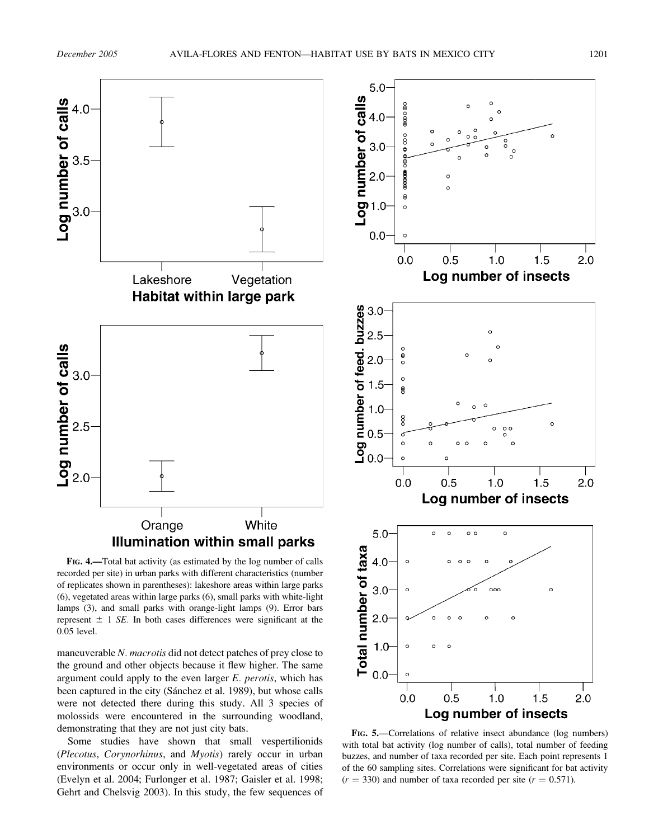

FIG. 4.—Total bat activity (as estimated by the log number of calls recorded per site) in urban parks with different characteristics (number of replicates shown in parentheses): lakeshore areas within large parks (6), vegetated areas within large parks (6), small parks with white-light lamps (3), and small parks with orange-light lamps (9). Error bars represent  $\pm$  1 SE. In both cases differences were significant at the 0.05 level.

maneuverable N. macrotis did not detect patches of prey close to the ground and other objects because it flew higher. The same argument could apply to the even larger  $E$ . perotis, which has been captured in the city (Sánchez et al. 1989), but whose calls were not detected there during this study. All 3 species of molossids were encountered in the surrounding woodland, demonstrating that they are not just city bats.

Some studies have shown that small vespertilionids (Plecotus, Corynorhinus, and Myotis) rarely occur in urban environments or occur only in well-vegetated areas of cities (Evelyn et al. 2004; Furlonger et al. 1987; Gaisler et al. 1998; Gehrt and Chelsvig 2003). In this study, the few sequences of



FIG. 5.—Correlations of relative insect abundance (log numbers) with total bat activity (log number of calls), total number of feeding buzzes, and number of taxa recorded per site. Each point represents 1 of the 60 sampling sites. Correlations were significant for bat activity  $(r = 330)$  and number of taxa recorded per site  $(r = 0.571)$ .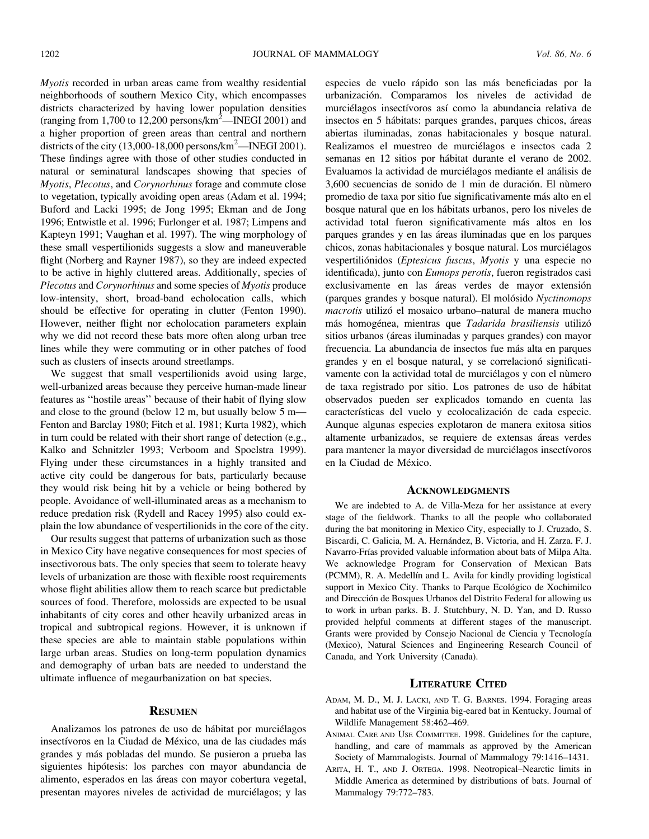Myotis recorded in urban areas came from wealthy residential neighborhoods of southern Mexico City, which encompasses districts characterized by having lower population densities (ranging from 1,700 to 12,200 persons/ $\text{km}^2$ —INEGI 2001) and a higher proportion of green areas than central and northern districts of the city  $(13,000-18,000)$  persons/km<sup>2</sup>—INEGI 2001). These findings agree with those of other studies conducted in natural or seminatural landscapes showing that species of Myotis, Plecotus, and Corynorhinus forage and commute close to vegetation, typically avoiding open areas (Adam et al. 1994; Buford and Lacki 1995; de Jong 1995; Ekman and de Jong 1996; Entwistle et al. 1996; Furlonger et al. 1987; Limpens and Kapteyn 1991; Vaughan et al. 1997). The wing morphology of these small vespertilionids suggests a slow and maneuverable flight (Norberg and Rayner 1987), so they are indeed expected to be active in highly cluttered areas. Additionally, species of Plecotus and Corynorhinus and some species of Myotis produce low-intensity, short, broad-band echolocation calls, which should be effective for operating in clutter (Fenton 1990). However, neither flight nor echolocation parameters explain why we did not record these bats more often along urban tree lines while they were commuting or in other patches of food such as clusters of insects around streetlamps.

We suggest that small vespertilionids avoid using large, well-urbanized areas because they perceive human-made linear features as ''hostile areas'' because of their habit of flying slow and close to the ground (below 12 m, but usually below 5 m— Fenton and Barclay 1980; Fitch et al. 1981; Kurta 1982), which in turn could be related with their short range of detection (e.g., Kalko and Schnitzler 1993; Verboom and Spoelstra 1999). Flying under these circumstances in a highly transited and active city could be dangerous for bats, particularly because they would risk being hit by a vehicle or being bothered by people. Avoidance of well-illuminated areas as a mechanism to reduce predation risk (Rydell and Racey 1995) also could explain the low abundance of vespertilionids in the core of the city.

Our results suggest that patterns of urbanization such as those in Mexico City have negative consequences for most species of insectivorous bats. The only species that seem to tolerate heavy levels of urbanization are those with flexible roost requirements whose flight abilities allow them to reach scarce but predictable sources of food. Therefore, molossids are expected to be usual inhabitants of city cores and other heavily urbanized areas in tropical and subtropical regions. However, it is unknown if these species are able to maintain stable populations within large urban areas. Studies on long-term population dynamics and demography of urban bats are needed to understand the ultimate influence of megaurbanization on bat species.

## **RESUMEN**

Analizamos los patrones de uso de hábitat por murciélagos insectívoros en la Ciudad de México, una de las ciudades más grandes y más pobladas del mundo. Se pusieron a prueba las siguientes hipótesis: los parches con mayor abundancia de alimento, esperados en las áreas con mayor cobertura vegetal, presentan mayores niveles de actividad de murciélagos; y las especies de vuelo rápido son las más beneficiadas por la urbanizacio´n. Comparamos los niveles de actividad de murciélagos insectívoros así como la abundancia relativa de insectos en 5 hábitats: parques grandes, parques chicos, áreas abiertas iluminadas, zonas habitacionales y bosque natural. Realizamos el muestreo de murciélagos e insectos cada 2 semanas en 12 sitios por hábitat durante el verano de 2002. Evaluamos la actividad de murciélagos mediante el análisis de 3,600 secuencias de sonido de 1 min de duración. El número promedio de taxa por sitio fue significativamente más alto en el bosque natural que en los ha´bitats urbanos, pero los niveles de actividad total fueron significativamente más altos en los parques grandes y en las áreas iluminadas que en los parques chicos, zonas habitacionales y bosque natural. Los murciélagos vespertiliónidos (Eptesicus fuscus, Myotis y una especie no identificada), junto con Eumops perotis, fueron registrados casi exclusivamente en las áreas verdes de mayor extensión (parques grandes y bosque natural). El molósido Nyctinomops macrotis utilizó el mosaico urbano–natural de manera mucho más homogénea, mientras que Tadarida brasiliensis utilizó sitios urbanos (áreas iluminadas y parques grandes) con mayor frecuencia. La abundancia de insectos fue más alta en parques grandes y en el bosque natural, y se correlacionó significativamente con la actividad total de murciélagos y con el nùmero de taxa registrado por sitio. Los patrones de uso de ha´bitat observados pueden ser explicados tomando en cuenta las características del vuelo y ecolocalización de cada especie. Aunque algunas especies explotaron de manera exitosa sitios altamente urbanizados, se requiere de extensas áreas verdes para mantener la mayor diversidad de murciélagos insectívoros en la Ciudad de México.

# **ACKNOWLEDGMENTS**

We are indebted to A. de Villa-Meza for her assistance at every stage of the fieldwork. Thanks to all the people who collaborated during the bat monitoring in Mexico City, especially to J. Cruzado, S. Biscardi, C. Galicia, M. A. Hernández, B. Victoria, and H. Zarza. F. J. Navarro-Frías provided valuable information about bats of Milpa Alta. We acknowledge Program for Conservation of Mexican Bats (PCMM), R. A. Medellín and L. Avila for kindly providing logistical support in Mexico City. Thanks to Parque Ecológico de Xochimilco and Dirección de Bosques Urbanos del Distrito Federal for allowing us to work in urban parks. B. J. Stutchbury, N. D. Yan, and D. Russo provided helpful comments at different stages of the manuscript. Grants were provided by Consejo Nacional de Ciencia y Tecnología (Mexico), Natural Sciences and Engineering Research Council of Canada, and York University (Canada).

#### LITERATURE CITED

- ADAM, M. D., M. J. LACKI, AND T. G. BARNES. 1994. Foraging areas and habitat use of the Virginia big-eared bat in Kentucky. Journal of Wildlife Management 58:462–469.
- ANIMAL CARE AND USE COMMITTEE. 1998. Guidelines for the capture, handling, and care of mammals as approved by the American Society of Mammalogists. Journal of Mammalogy 79:1416–1431.
- ARITA, H. T., AND J. ORTEGA. 1998. Neotropical–Nearctic limits in Middle America as determined by distributions of bats. Journal of Mammalogy 79:772–783.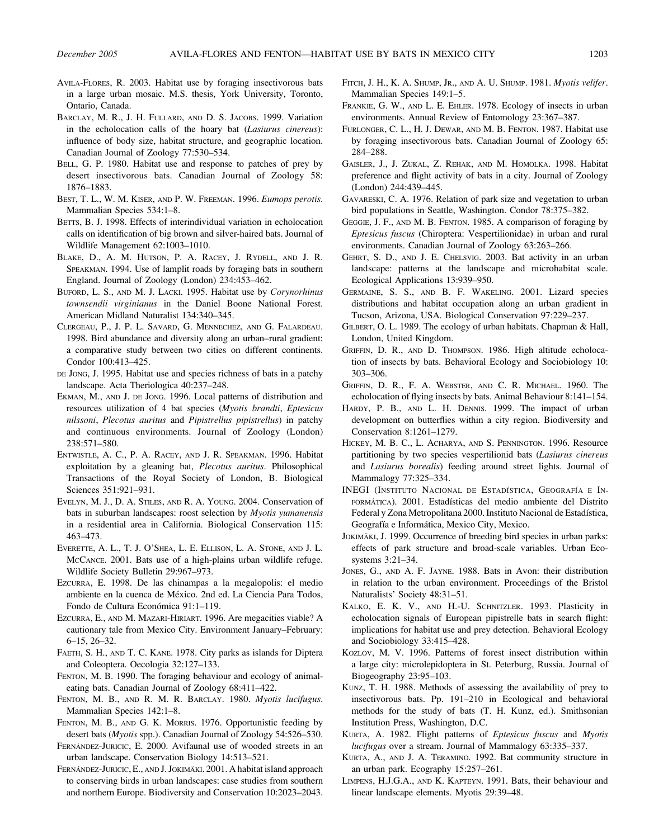- AVILA-FLORES, R. 2003. Habitat use by foraging insectivorous bats in a large urban mosaic. M.S. thesis, York University, Toronto, Ontario, Canada.
- BARCLAY, M. R., J. H. FULLARD, AND D. S. JACOBS. 1999. Variation in the echolocation calls of the hoary bat (Lasiurus cinereus): influence of body size, habitat structure, and geographic location. Canadian Journal of Zoology 77:530–534.
- BELL, G. P. 1980. Habitat use and response to patches of prey by desert insectivorous bats. Canadian Journal of Zoology 58: 1876–1883.
- BEST, T. L., W. M. KISER, AND P. W. FREEMAN. 1996. Eumops perotis. Mammalian Species 534:1–8.
- BETTS, B. J. 1998. Effects of interindividual variation in echolocation calls on identification of big brown and silver-haired bats. Journal of Wildlife Management 62:1003–1010.
- BLAKE, D., A. M. HUTSON, P. A. RACEY, J. RYDELL, AND J. R. SPEAKMAN. 1994. Use of lamplit roads by foraging bats in southern England. Journal of Zoology (London) 234:453–462.
- BUFORD, L. S., AND M. J. LACKI. 1995. Habitat use by Corynorhinus townsendii virginianus in the Daniel Boone National Forest. American Midland Naturalist 134:340–345.
- CLERGEAU, P., J. P. L. SAVARD, G. MENNECHEZ, AND G. FALARDEAU. 1998. Bird abundance and diversity along an urban–rural gradient: a comparative study between two cities on different continents. Condor 100:413–425.
- DE JONG, J. 1995. Habitat use and species richness of bats in a patchy landscape. Acta Theriologica 40:237–248.
- EKMAN, M., AND J. DE JONG. 1996. Local patterns of distribution and resources utilization of 4 bat species (Myotis brandti, Eptesicus nilssoni, Plecotus auritus and Pipistrellus pipistrellus) in patchy and continuous environments. Journal of Zoology (London) 238:571–580.
- ENTWISTLE, A. C., P. A. RACEY, AND J. R. SPEAKMAN. 1996. Habitat exploitation by a gleaning bat, Plecotus auritus. Philosophical Transactions of the Royal Society of London, B. Biological Sciences 351:921–931.
- EVELYN, M. J., D. A. STILES, AND R. A. YOUNG. 2004. Conservation of bats in suburban landscapes: roost selection by Myotis yumanensis in a residential area in California. Biological Conservation 115: 463–473.
- EVERETTE, A. L., T. J. O'SHEA, L. E. ELLISON, L. A. STONE, AND J. L. MCCANCE. 2001. Bats use of a high-plains urban wildlife refuge. Wildlife Society Bulletin 29:967–973.
- EZCURRA, E. 1998. De las chinampas a la megalopolis: el medio ambiente en la cuenca de México. 2nd ed. La Ciencia Para Todos, Fondo de Cultura Económica 91:1-119.
- EZCURRA, E., AND M. MAZARI-HIRIART. 1996. Are megacities viable? A cautionary tale from Mexico City. Environment January–February: 6–15, 26–32.
- FAETH, S. H., AND T. C. KANE. 1978. City parks as islands for Diptera and Coleoptera. Oecologia 32:127–133.
- FENTON, M. B. 1990. The foraging behaviour and ecology of animaleating bats. Canadian Journal of Zoology 68:411–422.
- FENTON, M. B., AND R. M. R. BARCLAY. 1980. Myotis lucifugus. Mammalian Species 142:1–8.
- FENTON, M. B., AND G. K. MORRIS. 1976. Opportunistic feeding by desert bats (Myotis spp.). Canadian Journal of Zoology 54:526-530.
- FERNÁNDEZ-JURICIC, E. 2000. Avifaunal use of wooded streets in an urban landscape. Conservation Biology 14:513–521.
- FERNÁNDEZ-JURICIC, E., AND J. JOKIMÄKI. 2001. A habitat island approach to conserving birds in urban landscapes: case studies from southern and northern Europe. Biodiversity and Conservation 10:2023–2043.
- FITCH, J. H., K. A. SHUMP, JR., AND A. U. SHUMP. 1981. Myotis velifer. Mammalian Species 149:1–5.
- FRANKIE, G. W., AND L. E. EHLER. 1978. Ecology of insects in urban environments. Annual Review of Entomology 23:367–387.
- FURLONGER, C. L., H. J. DEWAR, AND M. B. FENTON. 1987. Habitat use by foraging insectivorous bats. Canadian Journal of Zoology 65: 284–288.
- GAISLER, J., J. ZUKAL, Z. REHAK, AND M. HOMOLKA. 1998. Habitat preference and flight activity of bats in a city. Journal of Zoology (London) 244:439–445.
- GAVARESKI, C. A. 1976. Relation of park size and vegetation to urban bird populations in Seattle, Washington. Condor 78:375–382.
- GEGGIE, J. F., AND M. B. FENTON. 1985. A comparison of foraging by Eptesicus fuscus (Chiroptera: Vespertilionidae) in urban and rural environments. Canadian Journal of Zoology 63:263–266.
- GEHRT, S. D., AND J. E. CHELSVIG. 2003. Bat activity in an urban landscape: patterns at the landscape and microhabitat scale. Ecological Applications 13:939–950.
- GERMAINE, S. S., AND B. F. WAKELING. 2001. Lizard species distributions and habitat occupation along an urban gradient in Tucson, Arizona, USA. Biological Conservation 97:229–237.
- GILBERT, O. L. 1989. The ecology of urban habitats. Chapman & Hall, London, United Kingdom.
- GRIFFIN, D. R., AND D. THOMPSON. 1986. High altitude echolocation of insects by bats. Behavioral Ecology and Sociobiology 10: 303–306.
- GRIFFIN, D. R., F. A. WEBSTER, AND C. R. MICHAEL. 1960. The echolocation of flying insects by bats. Animal Behaviour 8:141–154.
- HARDY, P. B., AND L. H. DENNIS. 1999. The impact of urban development on butterflies within a city region. Biodiversity and Conservation 8:1261–1279.
- HICKEY, M. B. C., L. ACHARYA, AND S. PENNINGTON. 1996. Resource partitioning by two species vespertilionid bats (Lasiurus cinereus and Lasiurus borealis) feeding around street lights. Journal of Mammalogy 77:325–334.
- INEGI (INSTITUTO NACIONAL DE ESTADÍSTICA, GEOGRAFÍA E IN-FORMÁTICA). 2001. Estadísticas del medio ambiente del Distrito Federal y Zona Metropolitana 2000. Instituto Nacional de Estadística, Geografía e Informática, Mexico City, Mexico.
- JOKIMÄKI, J. 1999. Occurrence of breeding bird species in urban parks: effects of park structure and broad-scale variables. Urban Ecosystems 3:21–34.
- JONES, G., AND A. F. JAYNE. 1988. Bats in Avon: their distribution in relation to the urban environment. Proceedings of the Bristol Naturalists' Society 48:31–51.
- KALKO, E. K. V., AND H.-U. SCHNITZLER. 1993. Plasticity in echolocation signals of European pipistrelle bats in search flight: implications for habitat use and prey detection. Behavioral Ecology and Sociobiology 33:415–428.
- KOZLOV, M. V. 1996. Patterns of forest insect distribution within a large city: microlepidoptera in St. Peterburg, Russia. Journal of Biogeography 23:95–103.
- KUNZ, T. H. 1988. Methods of assessing the availability of prey to insectivorous bats. Pp. 191–210 in Ecological and behavioral methods for the study of bats (T. H. Kunz, ed.). Smithsonian Institution Press, Washington, D.C.
- KURTA, A. 1982. Flight patterns of Eptesicus fuscus and Myotis lucifugus over a stream. Journal of Mammalogy 63:335–337.
- KURTA, A., AND J. A. TERAMINO. 1992. Bat community structure in an urban park. Ecography 15:257–261.
- LIMPENS, H.J.G.A., AND K. KAPTEYN. 1991. Bats, their behaviour and linear landscape elements. Myotis 29:39–48.